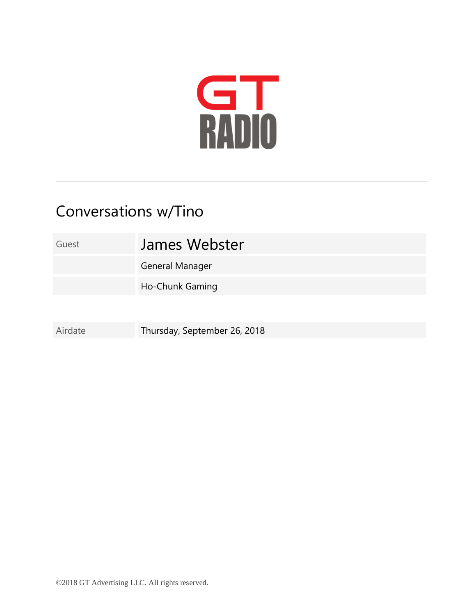

## Conversations w/Tino

## Guest James Webster

General Manager

Ho-Chunk Gaming

Airdate Thursday, September 26, 2018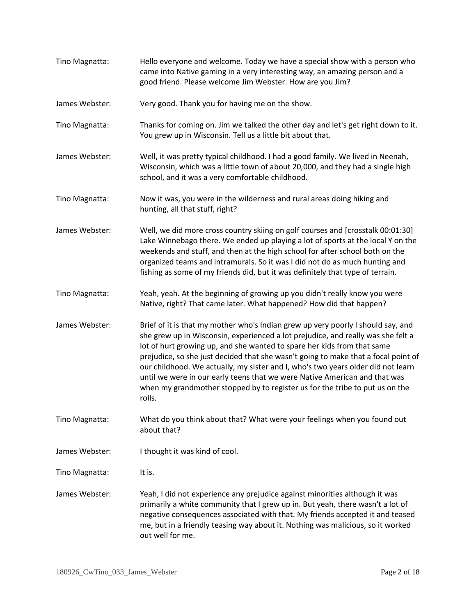| Tino Magnatta: | Hello everyone and welcome. Today we have a special show with a person who<br>came into Native gaming in a very interesting way, an amazing person and a<br>good friend. Please welcome Jim Webster. How are you Jim?                                                                                                                                                                                                                                                                                                                                                                             |
|----------------|---------------------------------------------------------------------------------------------------------------------------------------------------------------------------------------------------------------------------------------------------------------------------------------------------------------------------------------------------------------------------------------------------------------------------------------------------------------------------------------------------------------------------------------------------------------------------------------------------|
| James Webster: | Very good. Thank you for having me on the show.                                                                                                                                                                                                                                                                                                                                                                                                                                                                                                                                                   |
| Tino Magnatta: | Thanks for coming on. Jim we talked the other day and let's get right down to it.<br>You grew up in Wisconsin. Tell us a little bit about that.                                                                                                                                                                                                                                                                                                                                                                                                                                                   |
| James Webster: | Well, it was pretty typical childhood. I had a good family. We lived in Neenah,<br>Wisconsin, which was a little town of about 20,000, and they had a single high<br>school, and it was a very comfortable childhood.                                                                                                                                                                                                                                                                                                                                                                             |
| Tino Magnatta: | Now it was, you were in the wilderness and rural areas doing hiking and<br>hunting, all that stuff, right?                                                                                                                                                                                                                                                                                                                                                                                                                                                                                        |
| James Webster: | Well, we did more cross country skiing on golf courses and [crosstalk 00:01:30]<br>Lake Winnebago there. We ended up playing a lot of sports at the local Y on the<br>weekends and stuff, and then at the high school for after school both on the<br>organized teams and intramurals. So it was I did not do as much hunting and<br>fishing as some of my friends did, but it was definitely that type of terrain.                                                                                                                                                                               |
| Tino Magnatta: | Yeah, yeah. At the beginning of growing up you didn't really know you were<br>Native, right? That came later. What happened? How did that happen?                                                                                                                                                                                                                                                                                                                                                                                                                                                 |
| James Webster: | Brief of it is that my mother who's Indian grew up very poorly I should say, and<br>she grew up in Wisconsin, experienced a lot prejudice, and really was she felt a<br>lot of hurt growing up, and she wanted to spare her kids from that same<br>prejudice, so she just decided that she wasn't going to make that a focal point of<br>our childhood. We actually, my sister and I, who's two years older did not learn<br>until we were in our early teens that we were Native American and that was<br>when my grandmother stopped by to register us for the tribe to put us on the<br>rolls. |
| Tino Magnatta: | What do you think about that? What were your feelings when you found out<br>about that?                                                                                                                                                                                                                                                                                                                                                                                                                                                                                                           |
| James Webster: | I thought it was kind of cool.                                                                                                                                                                                                                                                                                                                                                                                                                                                                                                                                                                    |
| Tino Magnatta: | It is.                                                                                                                                                                                                                                                                                                                                                                                                                                                                                                                                                                                            |
| James Webster: | Yeah, I did not experience any prejudice against minorities although it was<br>primarily a white community that I grew up in. But yeah, there wasn't a lot of<br>negative consequences associated with that. My friends accepted it and teased<br>me, but in a friendly teasing way about it. Nothing was malicious, so it worked<br>out well for me.                                                                                                                                                                                                                                             |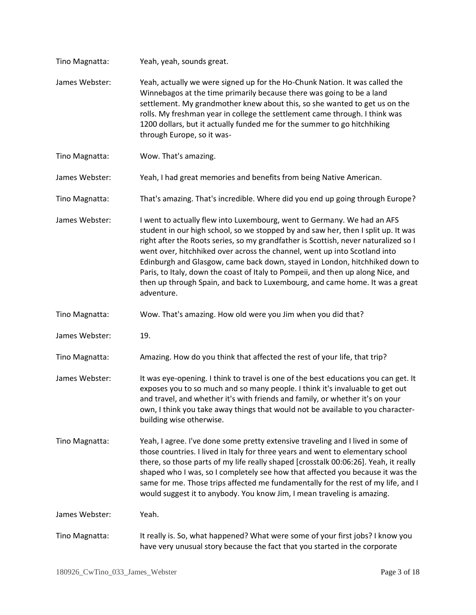| Tino Magnatta: | Yeah, yeah, sounds great.                                                                                                                                                                                                                                                                                                                                                                                                                                                                                                                                                                         |
|----------------|---------------------------------------------------------------------------------------------------------------------------------------------------------------------------------------------------------------------------------------------------------------------------------------------------------------------------------------------------------------------------------------------------------------------------------------------------------------------------------------------------------------------------------------------------------------------------------------------------|
| James Webster: | Yeah, actually we were signed up for the Ho-Chunk Nation. It was called the<br>Winnebagos at the time primarily because there was going to be a land<br>settlement. My grandmother knew about this, so she wanted to get us on the<br>rolls. My freshman year in college the settlement came through. I think was<br>1200 dollars, but it actually funded me for the summer to go hitchhiking<br>through Europe, so it was-                                                                                                                                                                       |
| Tino Magnatta: | Wow. That's amazing.                                                                                                                                                                                                                                                                                                                                                                                                                                                                                                                                                                              |
| James Webster: | Yeah, I had great memories and benefits from being Native American.                                                                                                                                                                                                                                                                                                                                                                                                                                                                                                                               |
| Tino Magnatta: | That's amazing. That's incredible. Where did you end up going through Europe?                                                                                                                                                                                                                                                                                                                                                                                                                                                                                                                     |
| James Webster: | I went to actually flew into Luxembourg, went to Germany. We had an AFS<br>student in our high school, so we stopped by and saw her, then I split up. It was<br>right after the Roots series, so my grandfather is Scottish, never naturalized so I<br>went over, hitchhiked over across the channel, went up into Scotland into<br>Edinburgh and Glasgow, came back down, stayed in London, hitchhiked down to<br>Paris, to Italy, down the coast of Italy to Pompeii, and then up along Nice, and<br>then up through Spain, and back to Luxembourg, and came home. It was a great<br>adventure. |
| Tino Magnatta: | Wow. That's amazing. How old were you Jim when you did that?                                                                                                                                                                                                                                                                                                                                                                                                                                                                                                                                      |
| James Webster: | 19.                                                                                                                                                                                                                                                                                                                                                                                                                                                                                                                                                                                               |
| Tino Magnatta: | Amazing. How do you think that affected the rest of your life, that trip?                                                                                                                                                                                                                                                                                                                                                                                                                                                                                                                         |
| James Webster: | It was eye-opening. I think to travel is one of the best educations you can get. It<br>exposes you to so much and so many people. I think it's invaluable to get out<br>and travel, and whether it's with friends and family, or whether it's on your<br>own, I think you take away things that would not be available to you character-<br>building wise otherwise.                                                                                                                                                                                                                              |
| Tino Magnatta: | Yeah, I agree. I've done some pretty extensive traveling and I lived in some of<br>those countries. I lived in Italy for three years and went to elementary school<br>there, so those parts of my life really shaped [crosstalk 00:06:26]. Yeah, it really<br>shaped who I was, so I completely see how that affected you because it was the<br>same for me. Those trips affected me fundamentally for the rest of my life, and I<br>would suggest it to anybody. You know Jim, I mean traveling is amazing.                                                                                      |
| James Webster: | Yeah.                                                                                                                                                                                                                                                                                                                                                                                                                                                                                                                                                                                             |
| Tino Magnatta: | It really is. So, what happened? What were some of your first jobs? I know you<br>have very unusual story because the fact that you started in the corporate                                                                                                                                                                                                                                                                                                                                                                                                                                      |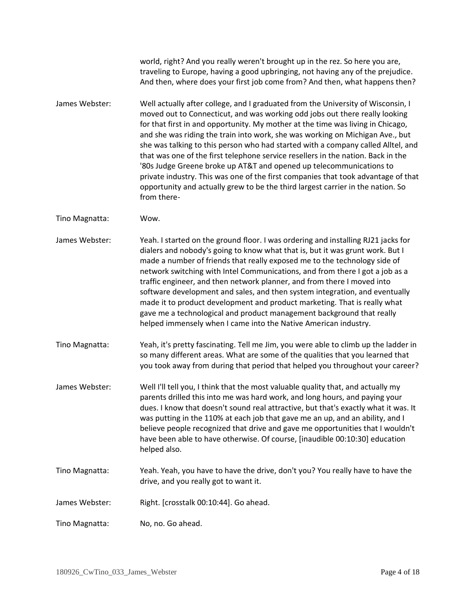world, right? And you really weren't brought up in the rez. So here you are, traveling to Europe, having a good upbringing, not having any of the prejudice. And then, where does your first job come from? And then, what happens then?

James Webster: Well actually after college, and I graduated from the University of Wisconsin, I moved out to Connecticut, and was working odd jobs out there really looking for that first in and opportunity. My mother at the time was living in Chicago, and she was riding the train into work, she was working on Michigan Ave., but she was talking to this person who had started with a company called Alltel, and that was one of the first telephone service resellers in the nation. Back in the '80s Judge Greene broke up AT&T and opened up telecommunications to private industry. This was one of the first companies that took advantage of that opportunity and actually grew to be the third largest carrier in the nation. So from there-

Tino Magnatta: Wow.

- James Webster: Yeah. I started on the ground floor. I was ordering and installing RJ21 jacks for dialers and nobody's going to know what that is, but it was grunt work. But I made a number of friends that really exposed me to the technology side of network switching with Intel Communications, and from there I got a job as a traffic engineer, and then network planner, and from there I moved into software development and sales, and then system integration, and eventually made it to product development and product marketing. That is really what gave me a technological and product management background that really helped immensely when I came into the Native American industry.
- Tino Magnatta: Yeah, it's pretty fascinating. Tell me Jim, you were able to climb up the ladder in so many different areas. What are some of the qualities that you learned that you took away from during that period that helped you throughout your career?
- James Webster: Well I'll tell you, I think that the most valuable quality that, and actually my parents drilled this into me was hard work, and long hours, and paying your dues. I know that doesn't sound real attractive, but that's exactly what it was. It was putting in the 110% at each job that gave me an up, and an ability, and I believe people recognized that drive and gave me opportunities that I wouldn't have been able to have otherwise. Of course, [inaudible 00:10:30] education helped also.
- Tino Magnatta: Yeah. Yeah, you have to have the drive, don't you? You really have to have the drive, and you really got to want it.
- James Webster: Right. [crosstalk 00:10:44]. Go ahead.

Tino Magnatta: No, no. Go ahead.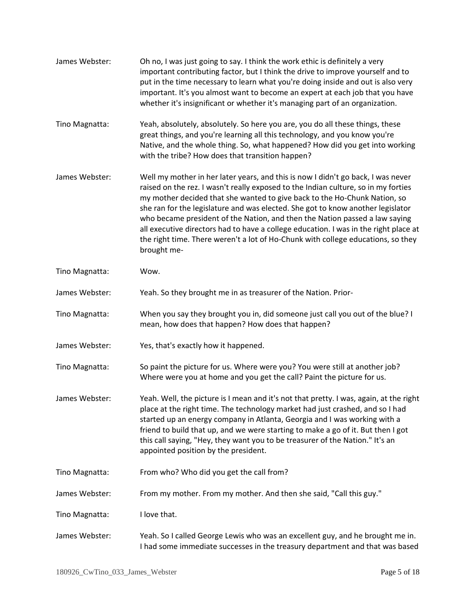| James Webster: | Oh no, I was just going to say. I think the work ethic is definitely a very<br>important contributing factor, but I think the drive to improve yourself and to<br>put in the time necessary to learn what you're doing inside and out is also very<br>important. It's you almost want to become an expert at each job that you have<br>whether it's insignificant or whether it's managing part of an organization.                                                                                                                                                                                              |
|----------------|------------------------------------------------------------------------------------------------------------------------------------------------------------------------------------------------------------------------------------------------------------------------------------------------------------------------------------------------------------------------------------------------------------------------------------------------------------------------------------------------------------------------------------------------------------------------------------------------------------------|
| Tino Magnatta: | Yeah, absolutely, absolutely. So here you are, you do all these things, these<br>great things, and you're learning all this technology, and you know you're<br>Native, and the whole thing. So, what happened? How did you get into working<br>with the tribe? How does that transition happen?                                                                                                                                                                                                                                                                                                                  |
| James Webster: | Well my mother in her later years, and this is now I didn't go back, I was never<br>raised on the rez. I wasn't really exposed to the Indian culture, so in my forties<br>my mother decided that she wanted to give back to the Ho-Chunk Nation, so<br>she ran for the legislature and was elected. She got to know another legislator<br>who became president of the Nation, and then the Nation passed a law saying<br>all executive directors had to have a college education. I was in the right place at<br>the right time. There weren't a lot of Ho-Chunk with college educations, so they<br>brought me- |
| Tino Magnatta: | Wow.                                                                                                                                                                                                                                                                                                                                                                                                                                                                                                                                                                                                             |
| James Webster: | Yeah. So they brought me in as treasurer of the Nation. Prior-                                                                                                                                                                                                                                                                                                                                                                                                                                                                                                                                                   |
| Tino Magnatta: | When you say they brought you in, did someone just call you out of the blue? I<br>mean, how does that happen? How does that happen?                                                                                                                                                                                                                                                                                                                                                                                                                                                                              |
| James Webster: | Yes, that's exactly how it happened.                                                                                                                                                                                                                                                                                                                                                                                                                                                                                                                                                                             |
| Tino Magnatta: | So paint the picture for us. Where were you? You were still at another job?<br>Where were you at home and you get the call? Paint the picture for us.                                                                                                                                                                                                                                                                                                                                                                                                                                                            |
| James Webster: | Yeah. Well, the picture is I mean and it's not that pretty. I was, again, at the right<br>place at the right time. The technology market had just crashed, and so I had<br>started up an energy company in Atlanta, Georgia and I was working with a<br>friend to build that up, and we were starting to make a go of it. But then I got<br>this call saying, "Hey, they want you to be treasurer of the Nation." It's an<br>appointed position by the president.                                                                                                                                                |
| Tino Magnatta: | From who? Who did you get the call from?                                                                                                                                                                                                                                                                                                                                                                                                                                                                                                                                                                         |
| James Webster: | From my mother. From my mother. And then she said, "Call this guy."                                                                                                                                                                                                                                                                                                                                                                                                                                                                                                                                              |
| Tino Magnatta: | I love that.                                                                                                                                                                                                                                                                                                                                                                                                                                                                                                                                                                                                     |
| James Webster: | Yeah. So I called George Lewis who was an excellent guy, and he brought me in.<br>I had some immediate successes in the treasury department and that was based                                                                                                                                                                                                                                                                                                                                                                                                                                                   |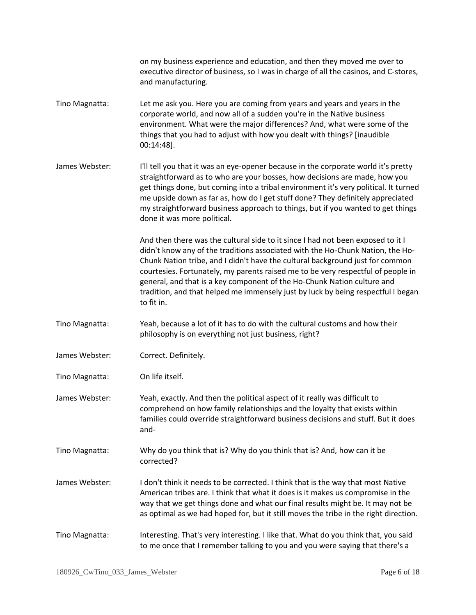|                | on my business experience and education, and then they moved me over to<br>executive director of business, so I was in charge of all the casinos, and C-stores,<br>and manufacturing.                                                                                                                                                                                                                                                                                                                               |
|----------------|---------------------------------------------------------------------------------------------------------------------------------------------------------------------------------------------------------------------------------------------------------------------------------------------------------------------------------------------------------------------------------------------------------------------------------------------------------------------------------------------------------------------|
| Tino Magnatta: | Let me ask you. Here you are coming from years and years and years in the<br>corporate world, and now all of a sudden you're in the Native business<br>environment. What were the major differences? And, what were some of the<br>things that you had to adjust with how you dealt with things? [inaudible<br>$00:14:48$ ].                                                                                                                                                                                        |
| James Webster: | I'll tell you that it was an eye-opener because in the corporate world it's pretty<br>straightforward as to who are your bosses, how decisions are made, how you<br>get things done, but coming into a tribal environment it's very political. It turned<br>me upside down as far as, how do I get stuff done? They definitely appreciated<br>my straightforward business approach to things, but if you wanted to get things<br>done it was more political.                                                        |
|                | And then there was the cultural side to it since I had not been exposed to it I<br>didn't know any of the traditions associated with the Ho-Chunk Nation, the Ho-<br>Chunk Nation tribe, and I didn't have the cultural background just for common<br>courtesies. Fortunately, my parents raised me to be very respectful of people in<br>general, and that is a key component of the Ho-Chunk Nation culture and<br>tradition, and that helped me immensely just by luck by being respectful I began<br>to fit in. |
| Tino Magnatta: | Yeah, because a lot of it has to do with the cultural customs and how their<br>philosophy is on everything not just business, right?                                                                                                                                                                                                                                                                                                                                                                                |
| James Webster: | Correct. Definitely.                                                                                                                                                                                                                                                                                                                                                                                                                                                                                                |
| Tino Magnatta: | On life itself.                                                                                                                                                                                                                                                                                                                                                                                                                                                                                                     |
| James Webster: | Yeah, exactly. And then the political aspect of it really was difficult to<br>comprehend on how family relationships and the loyalty that exists within<br>families could override straightforward business decisions and stuff. But it does<br>and-                                                                                                                                                                                                                                                                |
| Tino Magnatta: | Why do you think that is? Why do you think that is? And, how can it be<br>corrected?                                                                                                                                                                                                                                                                                                                                                                                                                                |
| James Webster: | I don't think it needs to be corrected. I think that is the way that most Native<br>American tribes are. I think that what it does is it makes us compromise in the<br>way that we get things done and what our final results might be. It may not be<br>as optimal as we had hoped for, but it still moves the tribe in the right direction.                                                                                                                                                                       |
| Tino Magnatta: | Interesting. That's very interesting. I like that. What do you think that, you said<br>to me once that I remember talking to you and you were saying that there's a                                                                                                                                                                                                                                                                                                                                                 |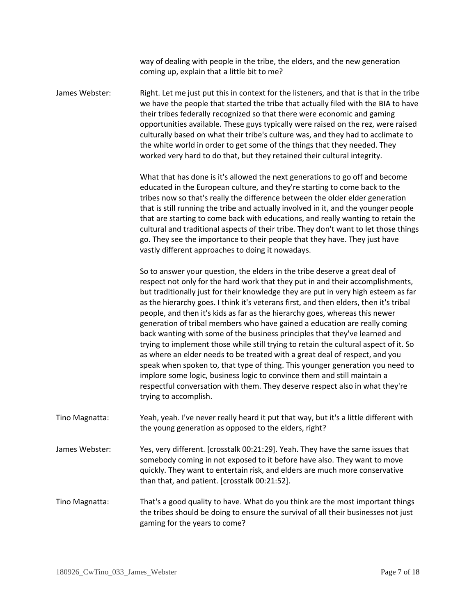way of dealing with people in the tribe, the elders, and the new generation coming up, explain that a little bit to me?

James Webster: Right. Let me just put this in context for the listeners, and that is that in the tribe we have the people that started the tribe that actually filed with the BIA to have their tribes federally recognized so that there were economic and gaming opportunities available. These guys typically were raised on the rez, were raised culturally based on what their tribe's culture was, and they had to acclimate to the white world in order to get some of the things that they needed. They worked very hard to do that, but they retained their cultural integrity.

> What that has done is it's allowed the next generations to go off and become educated in the European culture, and they're starting to come back to the tribes now so that's really the difference between the older elder generation that is still running the tribe and actually involved in it, and the younger people that are starting to come back with educations, and really wanting to retain the cultural and traditional aspects of their tribe. They don't want to let those things go. They see the importance to their people that they have. They just have vastly different approaches to doing it nowadays.

> So to answer your question, the elders in the tribe deserve a great deal of respect not only for the hard work that they put in and their accomplishments, but traditionally just for their knowledge they are put in very high esteem as far as the hierarchy goes. I think it's veterans first, and then elders, then it's tribal people, and then it's kids as far as the hierarchy goes, whereas this newer generation of tribal members who have gained a education are really coming back wanting with some of the business principles that they've learned and trying to implement those while still trying to retain the cultural aspect of it. So as where an elder needs to be treated with a great deal of respect, and you speak when spoken to, that type of thing. This younger generation you need to implore some logic, business logic to convince them and still maintain a respectful conversation with them. They deserve respect also in what they're trying to accomplish.

- Tino Magnatta: Yeah, yeah. I've never really heard it put that way, but it's a little different with the young generation as opposed to the elders, right?
- James Webster: Yes, very different. [crosstalk 00:21:29]. Yeah. They have the same issues that somebody coming in not exposed to it before have also. They want to move quickly. They want to entertain risk, and elders are much more conservative than that, and patient. [crosstalk 00:21:52].
- Tino Magnatta: That's a good quality to have. What do you think are the most important things the tribes should be doing to ensure the survival of all their businesses not just gaming for the years to come?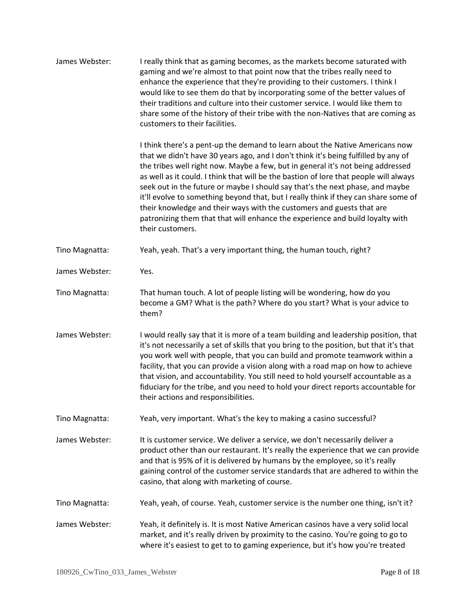| James Webster: | I really think that as gaming becomes, as the markets become saturated with<br>gaming and we're almost to that point now that the tribes really need to<br>enhance the experience that they're providing to their customers. I think I<br>would like to see them do that by incorporating some of the better values of<br>their traditions and culture into their customer service. I would like them to<br>share some of the history of their tribe with the non-Natives that are coming as<br>customers to their facilities.                                                                                                                                                                       |
|----------------|------------------------------------------------------------------------------------------------------------------------------------------------------------------------------------------------------------------------------------------------------------------------------------------------------------------------------------------------------------------------------------------------------------------------------------------------------------------------------------------------------------------------------------------------------------------------------------------------------------------------------------------------------------------------------------------------------|
|                | I think there's a pent-up the demand to learn about the Native Americans now<br>that we didn't have 30 years ago, and I don't think it's being fulfilled by any of<br>the tribes well right now. Maybe a few, but in general it's not being addressed<br>as well as it could. I think that will be the bastion of lore that people will always<br>seek out in the future or maybe I should say that's the next phase, and maybe<br>it'll evolve to something beyond that, but I really think if they can share some of<br>their knowledge and their ways with the customers and guests that are<br>patronizing them that that will enhance the experience and build loyalty with<br>their customers. |
| Tino Magnatta: | Yeah, yeah. That's a very important thing, the human touch, right?                                                                                                                                                                                                                                                                                                                                                                                                                                                                                                                                                                                                                                   |
| James Webster: | Yes.                                                                                                                                                                                                                                                                                                                                                                                                                                                                                                                                                                                                                                                                                                 |
| Tino Magnatta: | That human touch. A lot of people listing will be wondering, how do you<br>become a GM? What is the path? Where do you start? What is your advice to<br>them?                                                                                                                                                                                                                                                                                                                                                                                                                                                                                                                                        |
| James Webster: | I would really say that it is more of a team building and leadership position, that<br>it's not necessarily a set of skills that you bring to the position, but that it's that<br>you work well with people, that you can build and promote teamwork within a<br>facility, that you can provide a vision along with a road map on how to achieve<br>that vision, and accountability. You still need to hold yourself accountable as a<br>fiduciary for the tribe, and you need to hold your direct reports accountable for<br>their actions and responsibilities.                                                                                                                                    |
| Tino Magnatta: | Yeah, very important. What's the key to making a casino successful?                                                                                                                                                                                                                                                                                                                                                                                                                                                                                                                                                                                                                                  |
| James Webster: | It is customer service. We deliver a service, we don't necessarily deliver a<br>product other than our restaurant. It's really the experience that we can provide<br>and that is 95% of it is delivered by humans by the employee, so it's really<br>gaining control of the customer service standards that are adhered to within the<br>casino, that along with marketing of course.                                                                                                                                                                                                                                                                                                                |
| Tino Magnatta: | Yeah, yeah, of course. Yeah, customer service is the number one thing, isn't it?                                                                                                                                                                                                                                                                                                                                                                                                                                                                                                                                                                                                                     |
| James Webster: | Yeah, it definitely is. It is most Native American casinos have a very solid local<br>market, and it's really driven by proximity to the casino. You're going to go to<br>where it's easiest to get to to gaming experience, but it's how you're treated                                                                                                                                                                                                                                                                                                                                                                                                                                             |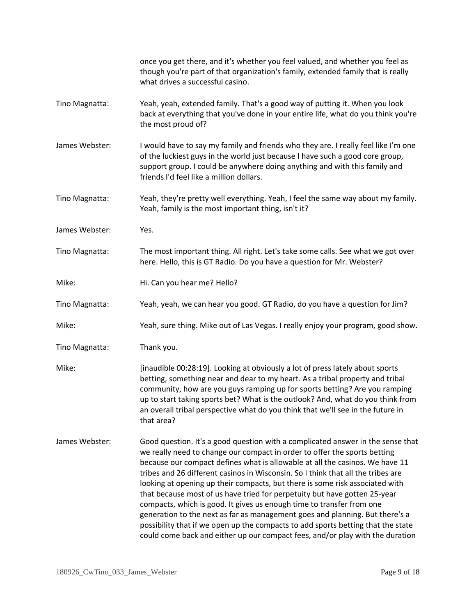|                | once you get there, and it's whether you feel valued, and whether you feel as<br>though you're part of that organization's family, extended family that is really<br>what drives a successful casino.                                                                                                                                                                                                                                                                                                                                                                                                                                                                                                                                                                                                                       |
|----------------|-----------------------------------------------------------------------------------------------------------------------------------------------------------------------------------------------------------------------------------------------------------------------------------------------------------------------------------------------------------------------------------------------------------------------------------------------------------------------------------------------------------------------------------------------------------------------------------------------------------------------------------------------------------------------------------------------------------------------------------------------------------------------------------------------------------------------------|
| Tino Magnatta: | Yeah, yeah, extended family. That's a good way of putting it. When you look<br>back at everything that you've done in your entire life, what do you think you're<br>the most proud of?                                                                                                                                                                                                                                                                                                                                                                                                                                                                                                                                                                                                                                      |
| James Webster: | I would have to say my family and friends who they are. I really feel like I'm one<br>of the luckiest guys in the world just because I have such a good core group,<br>support group. I could be anywhere doing anything and with this family and<br>friends I'd feel like a million dollars.                                                                                                                                                                                                                                                                                                                                                                                                                                                                                                                               |
| Tino Magnatta: | Yeah, they're pretty well everything. Yeah, I feel the same way about my family.<br>Yeah, family is the most important thing, isn't it?                                                                                                                                                                                                                                                                                                                                                                                                                                                                                                                                                                                                                                                                                     |
| James Webster: | Yes.                                                                                                                                                                                                                                                                                                                                                                                                                                                                                                                                                                                                                                                                                                                                                                                                                        |
| Tino Magnatta: | The most important thing. All right. Let's take some calls. See what we got over<br>here. Hello, this is GT Radio. Do you have a question for Mr. Webster?                                                                                                                                                                                                                                                                                                                                                                                                                                                                                                                                                                                                                                                                  |
| Mike:          | Hi. Can you hear me? Hello?                                                                                                                                                                                                                                                                                                                                                                                                                                                                                                                                                                                                                                                                                                                                                                                                 |
| Tino Magnatta: | Yeah, yeah, we can hear you good. GT Radio, do you have a question for Jim?                                                                                                                                                                                                                                                                                                                                                                                                                                                                                                                                                                                                                                                                                                                                                 |
| Mike:          | Yeah, sure thing. Mike out of Las Vegas. I really enjoy your program, good show.                                                                                                                                                                                                                                                                                                                                                                                                                                                                                                                                                                                                                                                                                                                                            |
| Tino Magnatta: | Thank you.                                                                                                                                                                                                                                                                                                                                                                                                                                                                                                                                                                                                                                                                                                                                                                                                                  |
| Mike:          | [inaudible 00:28:19]. Looking at obviously a lot of press lately about sports<br>betting, something near and dear to my heart. As a tribal property and tribal<br>community, how are you guys ramping up for sports betting? Are you ramping<br>up to start taking sports bet? What is the outlook? And, what do you think from<br>an overall tribal perspective what do you think that we'll see in the future in<br>that area?                                                                                                                                                                                                                                                                                                                                                                                            |
| James Webster: | Good question. It's a good question with a complicated answer in the sense that<br>we really need to change our compact in order to offer the sports betting<br>because our compact defines what is allowable at all the casinos. We have 11<br>tribes and 26 different casinos in Wisconsin. So I think that all the tribes are<br>looking at opening up their compacts, but there is some risk associated with<br>that because most of us have tried for perpetuity but have gotten 25-year<br>compacts, which is good. It gives us enough time to transfer from one<br>generation to the next as far as management goes and planning. But there's a<br>possibility that if we open up the compacts to add sports betting that the state<br>could come back and either up our compact fees, and/or play with the duration |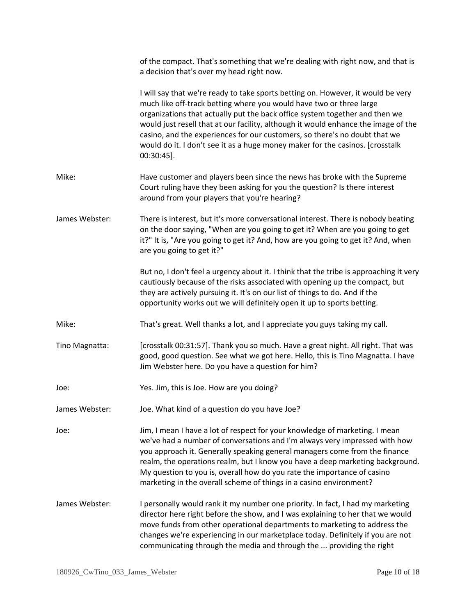|                | of the compact. That's something that we're dealing with right now, and that is<br>a decision that's over my head right now.                                                                                                                                                                                                                                                                                                                                                                                 |
|----------------|--------------------------------------------------------------------------------------------------------------------------------------------------------------------------------------------------------------------------------------------------------------------------------------------------------------------------------------------------------------------------------------------------------------------------------------------------------------------------------------------------------------|
|                | I will say that we're ready to take sports betting on. However, it would be very<br>much like off-track betting where you would have two or three large<br>organizations that actually put the back office system together and then we<br>would just resell that at our facility, although it would enhance the image of the<br>casino, and the experiences for our customers, so there's no doubt that we<br>would do it. I don't see it as a huge money maker for the casinos. [crosstalk<br>$00:30:45$ ]. |
| Mike:          | Have customer and players been since the news has broke with the Supreme<br>Court ruling have they been asking for you the question? Is there interest<br>around from your players that you're hearing?                                                                                                                                                                                                                                                                                                      |
| James Webster: | There is interest, but it's more conversational interest. There is nobody beating<br>on the door saying, "When are you going to get it? When are you going to get<br>it?" It is, "Are you going to get it? And, how are you going to get it? And, when<br>are you going to get it?"                                                                                                                                                                                                                          |
|                | But no, I don't feel a urgency about it. I think that the tribe is approaching it very<br>cautiously because of the risks associated with opening up the compact, but<br>they are actively pursuing it. It's on our list of things to do. And if the<br>opportunity works out we will definitely open it up to sports betting.                                                                                                                                                                               |
| Mike:          | That's great. Well thanks a lot, and I appreciate you guys taking my call.                                                                                                                                                                                                                                                                                                                                                                                                                                   |
| Tino Magnatta: | [crosstalk 00:31:57]. Thank you so much. Have a great night. All right. That was<br>good, good question. See what we got here. Hello, this is Tino Magnatta. I have<br>Jim Webster here. Do you have a question for him?                                                                                                                                                                                                                                                                                     |
| Joe:           | Yes. Jim, this is Joe. How are you doing?                                                                                                                                                                                                                                                                                                                                                                                                                                                                    |
| James Webster: | Joe. What kind of a question do you have Joe?                                                                                                                                                                                                                                                                                                                                                                                                                                                                |
| Joe:           | Jim, I mean I have a lot of respect for your knowledge of marketing. I mean<br>we've had a number of conversations and I'm always very impressed with how<br>you approach it. Generally speaking general managers come from the finance<br>realm, the operations realm, but I know you have a deep marketing background.<br>My question to you is, overall how do you rate the importance of casino<br>marketing in the overall scheme of things in a casino environment?                                    |
| James Webster: | I personally would rank it my number one priority. In fact, I had my marketing<br>director here right before the show, and I was explaining to her that we would<br>move funds from other operational departments to marketing to address the<br>changes we're experiencing in our marketplace today. Definitely if you are not<br>communicating through the media and through the  providing the right                                                                                                      |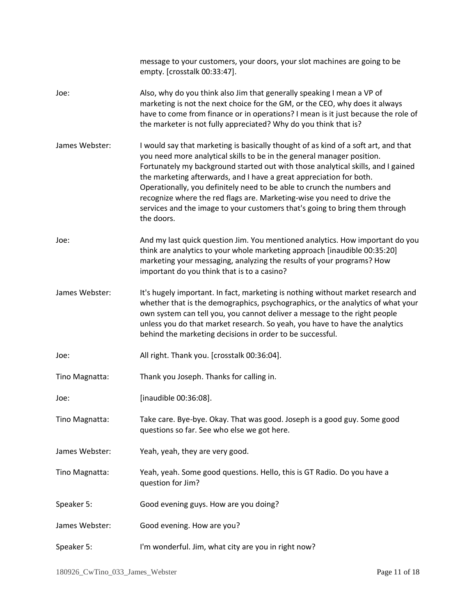|                | message to your customers, your doors, your slot machines are going to be<br>empty. [crosstalk 00:33:47].                                                                                                                                                                                                                                                                                                                                                                                                                                                                  |
|----------------|----------------------------------------------------------------------------------------------------------------------------------------------------------------------------------------------------------------------------------------------------------------------------------------------------------------------------------------------------------------------------------------------------------------------------------------------------------------------------------------------------------------------------------------------------------------------------|
| Joe:           | Also, why do you think also Jim that generally speaking I mean a VP of<br>marketing is not the next choice for the GM, or the CEO, why does it always<br>have to come from finance or in operations? I mean is it just because the role of<br>the marketer is not fully appreciated? Why do you think that is?                                                                                                                                                                                                                                                             |
| James Webster: | I would say that marketing is basically thought of as kind of a soft art, and that<br>you need more analytical skills to be in the general manager position.<br>Fortunately my background started out with those analytical skills, and I gained<br>the marketing afterwards, and I have a great appreciation for both.<br>Operationally, you definitely need to be able to crunch the numbers and<br>recognize where the red flags are. Marketing-wise you need to drive the<br>services and the image to your customers that's going to bring them through<br>the doors. |
| Joe:           | And my last quick question Jim. You mentioned analytics. How important do you<br>think are analytics to your whole marketing approach [inaudible 00:35:20]<br>marketing your messaging, analyzing the results of your programs? How<br>important do you think that is to a casino?                                                                                                                                                                                                                                                                                         |
| James Webster: | It's hugely important. In fact, marketing is nothing without market research and<br>whether that is the demographics, psychographics, or the analytics of what your<br>own system can tell you, you cannot deliver a message to the right people<br>unless you do that market research. So yeah, you have to have the analytics<br>behind the marketing decisions in order to be successful.                                                                                                                                                                               |
| Joe:           | All right. Thank you. [crosstalk 00:36:04].                                                                                                                                                                                                                                                                                                                                                                                                                                                                                                                                |
| Tino Magnatta: | Thank you Joseph. Thanks for calling in.                                                                                                                                                                                                                                                                                                                                                                                                                                                                                                                                   |
| Joe:           | [inaudible 00:36:08].                                                                                                                                                                                                                                                                                                                                                                                                                                                                                                                                                      |
| Tino Magnatta: | Take care. Bye-bye. Okay. That was good. Joseph is a good guy. Some good<br>questions so far. See who else we got here.                                                                                                                                                                                                                                                                                                                                                                                                                                                    |
| James Webster: | Yeah, yeah, they are very good.                                                                                                                                                                                                                                                                                                                                                                                                                                                                                                                                            |
| Tino Magnatta: | Yeah, yeah. Some good questions. Hello, this is GT Radio. Do you have a<br>question for Jim?                                                                                                                                                                                                                                                                                                                                                                                                                                                                               |
| Speaker 5:     | Good evening guys. How are you doing?                                                                                                                                                                                                                                                                                                                                                                                                                                                                                                                                      |
| James Webster: | Good evening. How are you?                                                                                                                                                                                                                                                                                                                                                                                                                                                                                                                                                 |
| Speaker 5:     | I'm wonderful. Jim, what city are you in right now?                                                                                                                                                                                                                                                                                                                                                                                                                                                                                                                        |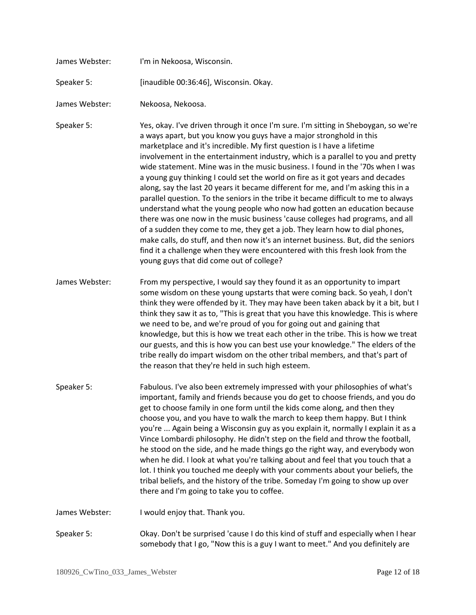| James Webster: | I'm in Nekoosa, Wisconsin.                                                                                                                                                                                                                                                                                                                                                                                                                                                                                                                                                                                                                                                                                                                                                                                                                                                                                                                                                                                                                                                                                                             |
|----------------|----------------------------------------------------------------------------------------------------------------------------------------------------------------------------------------------------------------------------------------------------------------------------------------------------------------------------------------------------------------------------------------------------------------------------------------------------------------------------------------------------------------------------------------------------------------------------------------------------------------------------------------------------------------------------------------------------------------------------------------------------------------------------------------------------------------------------------------------------------------------------------------------------------------------------------------------------------------------------------------------------------------------------------------------------------------------------------------------------------------------------------------|
| Speaker 5:     | [inaudible 00:36:46], Wisconsin. Okay.                                                                                                                                                                                                                                                                                                                                                                                                                                                                                                                                                                                                                                                                                                                                                                                                                                                                                                                                                                                                                                                                                                 |
| James Webster: | Nekoosa, Nekoosa.                                                                                                                                                                                                                                                                                                                                                                                                                                                                                                                                                                                                                                                                                                                                                                                                                                                                                                                                                                                                                                                                                                                      |
| Speaker 5:     | Yes, okay. I've driven through it once I'm sure. I'm sitting in Sheboygan, so we're<br>a ways apart, but you know you guys have a major stronghold in this<br>marketplace and it's incredible. My first question is I have a lifetime<br>involvement in the entertainment industry, which is a parallel to you and pretty<br>wide statement. Mine was in the music business. I found in the '70s when I was<br>a young guy thinking I could set the world on fire as it got years and decades<br>along, say the last 20 years it became different for me, and I'm asking this in a<br>parallel question. To the seniors in the tribe it became difficult to me to always<br>understand what the young people who now had gotten an education because<br>there was one now in the music business 'cause colleges had programs, and all<br>of a sudden they come to me, they get a job. They learn how to dial phones,<br>make calls, do stuff, and then now it's an internet business. But, did the seniors<br>find it a challenge when they were encountered with this fresh look from the<br>young guys that did come out of college? |
| James Webster: | From my perspective, I would say they found it as an opportunity to impart<br>some wisdom on these young upstarts that were coming back. So yeah, I don't<br>think they were offended by it. They may have been taken aback by it a bit, but I<br>think they saw it as to, "This is great that you have this knowledge. This is where<br>we need to be, and we're proud of you for going out and gaining that<br>knowledge, but this is how we treat each other in the tribe. This is how we treat<br>our guests, and this is how you can best use your knowledge." The elders of the<br>tribe really do impart wisdom on the other tribal members, and that's part of<br>the reason that they're held in such high esteem.                                                                                                                                                                                                                                                                                                                                                                                                            |
| Speaker 5:     | Fabulous. I've also been extremely impressed with your philosophies of what's<br>important, family and friends because you do get to choose friends, and you do<br>get to choose family in one form until the kids come along, and then they<br>choose you, and you have to walk the march to keep them happy. But I think<br>you're  Again being a Wisconsin guy as you explain it, normally I explain it as a<br>Vince Lombardi philosophy. He didn't step on the field and throw the football,<br>he stood on the side, and he made things go the right way, and everybody won<br>when he did. I look at what you're talking about and feel that you touch that a<br>lot. I think you touched me deeply with your comments about your beliefs, the<br>tribal beliefs, and the history of the tribe. Someday I'm going to show up over<br>there and I'm going to take you to coffee.                                                                                                                                                                                                                                                 |
| James Webster: | I would enjoy that. Thank you.                                                                                                                                                                                                                                                                                                                                                                                                                                                                                                                                                                                                                                                                                                                                                                                                                                                                                                                                                                                                                                                                                                         |
| Speaker 5:     | Okay. Don't be surprised 'cause I do this kind of stuff and especially when I hear<br>somebody that I go, "Now this is a guy I want to meet." And you definitely are                                                                                                                                                                                                                                                                                                                                                                                                                                                                                                                                                                                                                                                                                                                                                                                                                                                                                                                                                                   |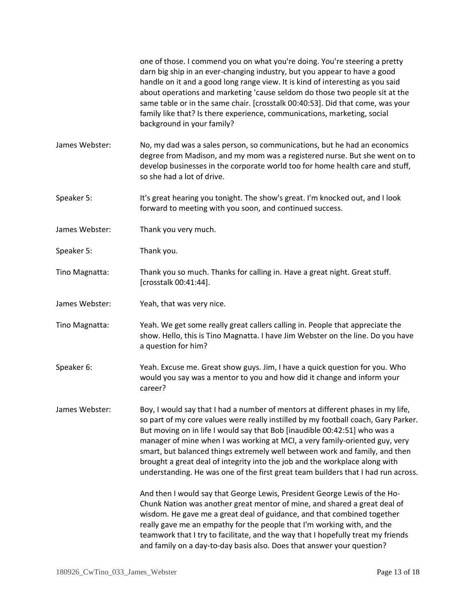|                | one of those. I commend you on what you're doing. You're steering a pretty<br>darn big ship in an ever-changing industry, but you appear to have a good<br>handle on it and a good long range view. It is kind of interesting as you said<br>about operations and marketing 'cause seldom do those two people sit at the<br>same table or in the same chair. [crosstalk 00:40:53]. Did that come, was your<br>family like that? Is there experience, communications, marketing, social<br>background in your family?                                                                 |
|----------------|--------------------------------------------------------------------------------------------------------------------------------------------------------------------------------------------------------------------------------------------------------------------------------------------------------------------------------------------------------------------------------------------------------------------------------------------------------------------------------------------------------------------------------------------------------------------------------------|
| James Webster: | No, my dad was a sales person, so communications, but he had an economics<br>degree from Madison, and my mom was a registered nurse. But she went on to<br>develop businesses in the corporate world too for home health care and stuff,<br>so she had a lot of drive.                                                                                                                                                                                                                                                                                                               |
| Speaker 5:     | It's great hearing you tonight. The show's great. I'm knocked out, and I look<br>forward to meeting with you soon, and continued success.                                                                                                                                                                                                                                                                                                                                                                                                                                            |
| James Webster: | Thank you very much.                                                                                                                                                                                                                                                                                                                                                                                                                                                                                                                                                                 |
| Speaker 5:     | Thank you.                                                                                                                                                                                                                                                                                                                                                                                                                                                                                                                                                                           |
| Tino Magnatta: | Thank you so much. Thanks for calling in. Have a great night. Great stuff.<br>[crosstalk 00:41:44].                                                                                                                                                                                                                                                                                                                                                                                                                                                                                  |
| James Webster: | Yeah, that was very nice.                                                                                                                                                                                                                                                                                                                                                                                                                                                                                                                                                            |
| Tino Magnatta: | Yeah. We get some really great callers calling in. People that appreciate the<br>show. Hello, this is Tino Magnatta. I have Jim Webster on the line. Do you have<br>a question for him?                                                                                                                                                                                                                                                                                                                                                                                              |
| Speaker 6:     | Yeah. Excuse me. Great show guys. Jim, I have a quick question for you. Who<br>would you say was a mentor to you and how did it change and inform your<br>career?                                                                                                                                                                                                                                                                                                                                                                                                                    |
| James Webster: | Boy, I would say that I had a number of mentors at different phases in my life,<br>so part of my core values were really instilled by my football coach, Gary Parker.<br>But moving on in life I would say that Bob [inaudible 00:42:51] who was a<br>manager of mine when I was working at MCI, a very family-oriented guy, very<br>smart, but balanced things extremely well between work and family, and then<br>brought a great deal of integrity into the job and the workplace along with<br>understanding. He was one of the first great team builders that I had run across. |
|                | And then I would say that George Lewis, President George Lewis of the Ho-<br>Chunk Nation was another great mentor of mine, and shared a great deal of<br>wisdom. He gave me a great deal of guidance, and that combined together<br>really gave me an empathy for the people that I'm working with, and the<br>teamwork that I try to facilitate, and the way that I hopefully treat my friends<br>and family on a day-to-day basis also. Does that answer your question?                                                                                                           |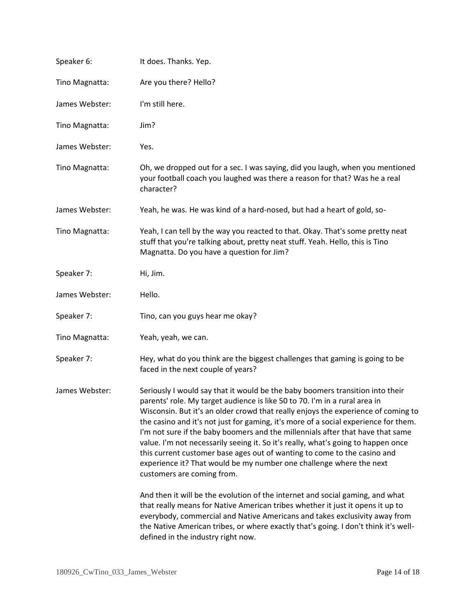| Speaker 6:     | It does. Thanks. Yep.                                                                                                                                                                                                                                                                                                                                                                                                                                                                                                                                                                                                                                                                           |
|----------------|-------------------------------------------------------------------------------------------------------------------------------------------------------------------------------------------------------------------------------------------------------------------------------------------------------------------------------------------------------------------------------------------------------------------------------------------------------------------------------------------------------------------------------------------------------------------------------------------------------------------------------------------------------------------------------------------------|
| Tino Magnatta: | Are you there? Hello?                                                                                                                                                                                                                                                                                                                                                                                                                                                                                                                                                                                                                                                                           |
| James Webster: | I'm still here.                                                                                                                                                                                                                                                                                                                                                                                                                                                                                                                                                                                                                                                                                 |
| Tino Magnatta: | Jim?                                                                                                                                                                                                                                                                                                                                                                                                                                                                                                                                                                                                                                                                                            |
| James Webster: | Yes.                                                                                                                                                                                                                                                                                                                                                                                                                                                                                                                                                                                                                                                                                            |
| Tino Magnatta: | Oh, we dropped out for a sec. I was saying, did you laugh, when you mentioned<br>your football coach you laughed was there a reason for that? Was he a real<br>character?                                                                                                                                                                                                                                                                                                                                                                                                                                                                                                                       |
| James Webster: | Yeah, he was. He was kind of a hard-nosed, but had a heart of gold, so-                                                                                                                                                                                                                                                                                                                                                                                                                                                                                                                                                                                                                         |
| Tino Magnatta: | Yeah, I can tell by the way you reacted to that. Okay. That's some pretty neat<br>stuff that you're talking about, pretty neat stuff. Yeah. Hello, this is Tino<br>Magnatta. Do you have a question for Jim?                                                                                                                                                                                                                                                                                                                                                                                                                                                                                    |
| Speaker 7:     | Hi, Jim.                                                                                                                                                                                                                                                                                                                                                                                                                                                                                                                                                                                                                                                                                        |
| James Webster: | Hello.                                                                                                                                                                                                                                                                                                                                                                                                                                                                                                                                                                                                                                                                                          |
| Speaker 7:     | Tino, can you guys hear me okay?                                                                                                                                                                                                                                                                                                                                                                                                                                                                                                                                                                                                                                                                |
| Tino Magnatta: | Yeah, yeah, we can.                                                                                                                                                                                                                                                                                                                                                                                                                                                                                                                                                                                                                                                                             |
| Speaker 7:     | Hey, what do you think are the biggest challenges that gaming is going to be<br>faced in the next couple of years?                                                                                                                                                                                                                                                                                                                                                                                                                                                                                                                                                                              |
| James Webster: | Seriously I would say that it would be the baby boomers transition into their<br>parents' role. My target audience is like 50 to 70. I'm in a rural area in<br>Wisconsin. But it's an older crowd that really enjoys the experience of coming to<br>the casino and it's not just for gaming, it's more of a social experience for them.<br>I'm not sure if the baby boomers and the millennials after that have that same<br>value. I'm not necessarily seeing it. So it's really, what's going to happen once<br>this current customer base ages out of wanting to come to the casino and<br>experience it? That would be my number one challenge where the next<br>customers are coming from. |
|                | And then it will be the evolution of the internet and social gaming, and what<br>that really means for Native American tribes whether it just it opens it up to<br>everybody, commercial and Native Americans and takes exclusivity away from<br>the Native American tribes, or where exactly that's going. I don't think it's well-<br>defined in the industry right now.                                                                                                                                                                                                                                                                                                                      |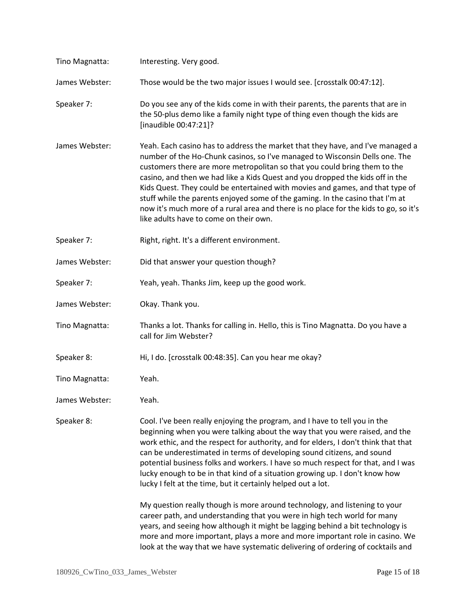| Tino Magnatta: | Interesting. Very good.                                                                                                                                                                                                                                                                                                                                                                                                                                                                                                                                                                                                         |
|----------------|---------------------------------------------------------------------------------------------------------------------------------------------------------------------------------------------------------------------------------------------------------------------------------------------------------------------------------------------------------------------------------------------------------------------------------------------------------------------------------------------------------------------------------------------------------------------------------------------------------------------------------|
| James Webster: | Those would be the two major issues I would see. [crosstalk 00:47:12].                                                                                                                                                                                                                                                                                                                                                                                                                                                                                                                                                          |
| Speaker 7:     | Do you see any of the kids come in with their parents, the parents that are in<br>the 50-plus demo like a family night type of thing even though the kids are<br>[inaudible 00:47:21]?                                                                                                                                                                                                                                                                                                                                                                                                                                          |
| James Webster: | Yeah. Each casino has to address the market that they have, and I've managed a<br>number of the Ho-Chunk casinos, so I've managed to Wisconsin Dells one. The<br>customers there are more metropolitan so that you could bring them to the<br>casino, and then we had like a Kids Quest and you dropped the kids off in the<br>Kids Quest. They could be entertained with movies and games, and that type of<br>stuff while the parents enjoyed some of the gaming. In the casino that I'm at<br>now it's much more of a rural area and there is no place for the kids to go, so it's<br>like adults have to come on their own. |
| Speaker 7:     | Right, right. It's a different environment.                                                                                                                                                                                                                                                                                                                                                                                                                                                                                                                                                                                     |
| James Webster: | Did that answer your question though?                                                                                                                                                                                                                                                                                                                                                                                                                                                                                                                                                                                           |
| Speaker 7:     | Yeah, yeah. Thanks Jim, keep up the good work.                                                                                                                                                                                                                                                                                                                                                                                                                                                                                                                                                                                  |
| James Webster: | Okay. Thank you.                                                                                                                                                                                                                                                                                                                                                                                                                                                                                                                                                                                                                |
| Tino Magnatta: | Thanks a lot. Thanks for calling in. Hello, this is Tino Magnatta. Do you have a<br>call for Jim Webster?                                                                                                                                                                                                                                                                                                                                                                                                                                                                                                                       |
| Speaker 8:     | Hi, I do. [crosstalk 00:48:35]. Can you hear me okay?                                                                                                                                                                                                                                                                                                                                                                                                                                                                                                                                                                           |
| Tino Magnatta: | Yeah.                                                                                                                                                                                                                                                                                                                                                                                                                                                                                                                                                                                                                           |
| James Webster: | Yeah.                                                                                                                                                                                                                                                                                                                                                                                                                                                                                                                                                                                                                           |
| Speaker 8:     | Cool. I've been really enjoying the program, and I have to tell you in the<br>beginning when you were talking about the way that you were raised, and the<br>work ethic, and the respect for authority, and for elders, I don't think that that<br>can be underestimated in terms of developing sound citizens, and sound<br>potential business folks and workers. I have so much respect for that, and I was<br>lucky enough to be in that kind of a situation growing up. I don't know how<br>lucky I felt at the time, but it certainly helped out a lot.                                                                    |
|                | My question really though is more around technology, and listening to your<br>career path, and understanding that you were in high tech world for many<br>years, and seeing how although it might be lagging behind a bit technology is<br>more and more important, plays a more and more important role in casino. We<br>look at the way that we have systematic delivering of ordering of cocktails and                                                                                                                                                                                                                       |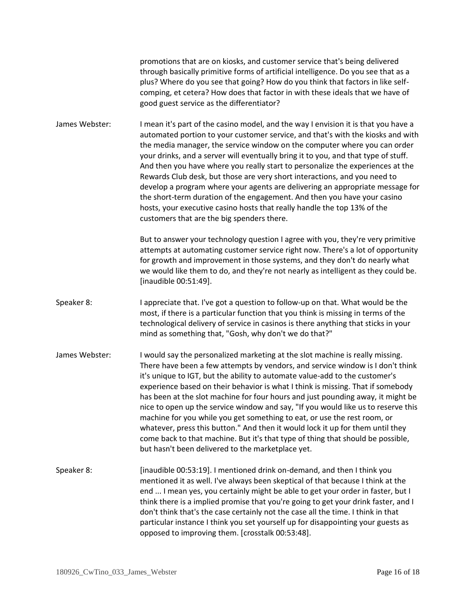promotions that are on kiosks, and customer service that's being delivered through basically primitive forms of artificial intelligence. Do you see that as a plus? Where do you see that going? How do you think that factors in like selfcomping, et cetera? How does that factor in with these ideals that we have of good guest service as the differentiator?

James Webster: I mean it's part of the casino model, and the way I envision it is that you have a automated portion to your customer service, and that's with the kiosks and with the media manager, the service window on the computer where you can order your drinks, and a server will eventually bring it to you, and that type of stuff. And then you have where you really start to personalize the experiences at the Rewards Club desk, but those are very short interactions, and you need to develop a program where your agents are delivering an appropriate message for the short-term duration of the engagement. And then you have your casino hosts, your executive casino hosts that really handle the top 13% of the customers that are the big spenders there.

> But to answer your technology question I agree with you, they're very primitive attempts at automating customer service right now. There's a lot of opportunity for growth and improvement in those systems, and they don't do nearly what we would like them to do, and they're not nearly as intelligent as they could be. [inaudible 00:51:49].

- Speaker 8: I appreciate that. I've got a question to follow-up on that. What would be the most, if there is a particular function that you think is missing in terms of the technological delivery of service in casinos is there anything that sticks in your mind as something that, "Gosh, why don't we do that?"
- James Webster: I would say the personalized marketing at the slot machine is really missing. There have been a few attempts by vendors, and service window is I don't think it's unique to IGT, but the ability to automate value-add to the customer's experience based on their behavior is what I think is missing. That if somebody has been at the slot machine for four hours and just pounding away, it might be nice to open up the service window and say, "If you would like us to reserve this machine for you while you get something to eat, or use the rest room, or whatever, press this button." And then it would lock it up for them until they come back to that machine. But it's that type of thing that should be possible, but hasn't been delivered to the marketplace yet.
- Speaker 8: [inaudible 00:53:19]. I mentioned drink on-demand, and then I think you mentioned it as well. I've always been skeptical of that because I think at the end ... I mean yes, you certainly might be able to get your order in faster, but I think there is a implied promise that you're going to get your drink faster, and I don't think that's the case certainly not the case all the time. I think in that particular instance I think you set yourself up for disappointing your guests as opposed to improving them. [crosstalk 00:53:48].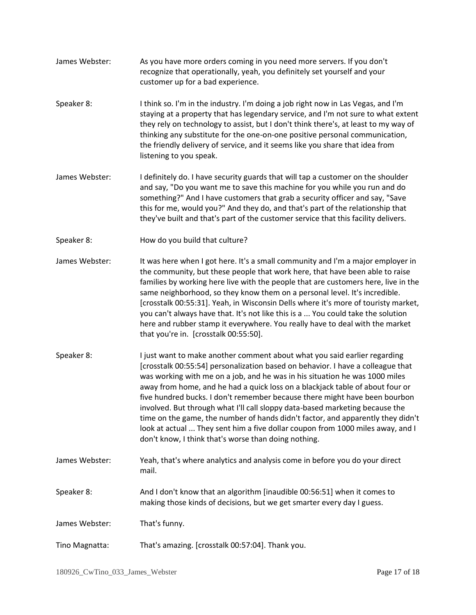- James Webster: As you have more orders coming in you need more servers. If you don't recognize that operationally, yeah, you definitely set yourself and your customer up for a bad experience.
- Speaker 8: I think so. I'm in the industry. I'm doing a job right now in Las Vegas, and I'm staying at a property that has legendary service, and I'm not sure to what extent they rely on technology to assist, but I don't think there's, at least to my way of thinking any substitute for the one-on-one positive personal communication, the friendly delivery of service, and it seems like you share that idea from listening to you speak.
- James Webster: I definitely do. I have security guards that will tap a customer on the shoulder and say, "Do you want me to save this machine for you while you run and do something?" And I have customers that grab a security officer and say, "Save this for me, would you?" And they do, and that's part of the relationship that they've built and that's part of the customer service that this facility delivers.
- Speaker 8: How do you build that culture?
- James Webster: It was here when I got here. It's a small community and I'm a major employer in the community, but these people that work here, that have been able to raise families by working here live with the people that are customers here, live in the same neighborhood, so they know them on a personal level. It's incredible. [crosstalk 00:55:31]. Yeah, in Wisconsin Dells where it's more of touristy market, you can't always have that. It's not like this is a ... You could take the solution here and rubber stamp it everywhere. You really have to deal with the market that you're in. [crosstalk 00:55:50].
- Speaker 8: I just want to make another comment about what you said earlier regarding [crosstalk 00:55:54] personalization based on behavior. I have a colleague that was working with me on a job, and he was in his situation he was 1000 miles away from home, and he had a quick loss on a blackjack table of about four or five hundred bucks. I don't remember because there might have been bourbon involved. But through what I'll call sloppy data-based marketing because the time on the game, the number of hands didn't factor, and apparently they didn't look at actual ... They sent him a five dollar coupon from 1000 miles away, and I don't know, I think that's worse than doing nothing.
- James Webster: Yeah, that's where analytics and analysis come in before you do your direct mail.
- Speaker 8: And I don't know that an algorithm [inaudible 00:56:51] when it comes to making those kinds of decisions, but we get smarter every day I guess.

James Webster: That's funny.

Tino Magnatta: That's amazing. [crosstalk 00:57:04]. Thank you.